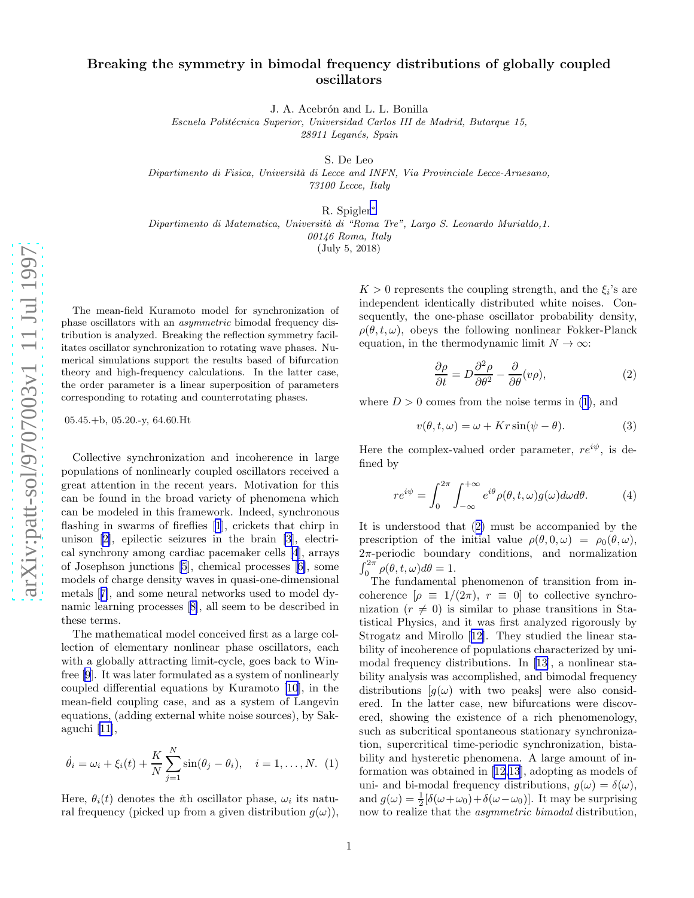## <span id="page-0-0"></span>Breaking the symmetry in bimodal frequency distributions of globally coupled oscillators

J. A. Acebrón and L. L. Bonilla

Escuela Politécnica Superior, Universidad Carlos III de Madrid, Butarque 15, 28911 Leganés, Spain

S. De Leo

Dipartimento di Fisica, Università di Lecce and INFN, Via Provinciale Lecce-Arnesano, 73100 Lecce, Italy

R. Spigler [∗](#page-3-0)

Dipartimento di Matematica, Università di "Roma Tre", Largo S. Leonardo Murialdo,1.

00146 Roma, Italy

(July 5, 2018)

The mean-field Kuramoto model for synchronization of phase oscillators with an asymmetric bimodal frequency distribution is analyzed. Breaking the reflection symmetry facilitates oscillator synchronization to rotating wave phases. Numerical simulations support the results based of bifurcation theory and high-frequency calculations. In the latter case , the order parameter is a linear superposition of parameters corresponding to rotating and counterrotating phases.

 $05.45.+b, 05.20.-y, 64.60.Ht$ 

Collective synchronization and incoherence in large populations of nonlinearly coupled oscillators received a great attention in the recent years. Motivation for this can be found in the broad variety of phenomena which can be modeled in this framework. Indeed, synchronous flashing in swarms of fireflies [\[1](#page-3-0)], crickets that chirp in unison[[2\]](#page-3-0), epilectic seizures in the brain [\[3](#page-3-0)], electrical synchrony among cardiac pacemaker cells [\[4](#page-3-0)], arrays of Josephson junctions [\[5](#page-3-0)], chemical processes[[6\]](#page-3-0), some models of charge density waves in quasi-one-dimensional metals[[7\]](#page-3-0), and some neural networks used to model dynamic learning processes[[8\]](#page-3-0), all seem to be described in these terms.

The mathematical model conceived first as a large collection of elementary nonlinear phase oscillators, each with a globally attracting limit-cycle, goes back to Winfree[[9](#page-3-0)]. It was later formulated as a system of nonlinearly coupled differential equations by Kuramoto [\[10](#page-3-0)], in the mean-field coupling case, and as a system of Langevin equations, (adding external white noise sources), by Sakaguchi [\[11](#page-3-0)],

$$
\dot{\theta}_i = \omega_i + \xi_i(t) + \frac{K}{N} \sum_{j=1}^{N} \sin(\theta_j - \theta_i), \quad i = 1, ..., N.
$$
 (1)

Here,  $\theta_i(t)$  denotes the *i*th oscillator phase,  $\omega_i$  its natural frequency (picked up from a given distribution  $g(\omega)$ ),

 $K > 0$  represents the coupling strength, and the  $\xi_i$ 's are independent identically distributed white noises. Consequently, the one-phase oscillator probability density,  $\rho(\theta, t, \omega)$ , obeys the following nonlinear Fokker-Planck equation, in the thermodynamic limit  $N \to \infty$ :

$$
\frac{\partial \rho}{\partial t} = D \frac{\partial^2 \rho}{\partial \theta^2} - \frac{\partial}{\partial \theta} (\nu \rho), \tag{2}
$$

where  $D > 0$  comes from the noise terms in (1), and

$$
v(\theta, t, \omega) = \omega + Kr\sin(\psi - \theta). \tag{3}
$$

Here the complex-valued order parameter,  $re^{i\psi}$ , is defined by

$$
re^{i\psi} = \int_0^{2\pi} \int_{-\infty}^{+\infty} e^{i\theta} \rho(\theta, t, \omega) g(\omega) d\omega d\theta.
$$
 (4)

It is understood that (2) must be accompanied by the prescription of the initial value  $\rho(\theta, 0, \omega) = \rho_0(\theta, \omega),$ 2 π-periodic boundary conditions, and normalization  $\int_0^{2\pi} \rho(\theta, t, \omega) d\theta = 1.$ 

The fundamental phenomenon of transition from incoherence  $[\rho \equiv 1/(2\pi), r \equiv 0]$  to collective synchronization  $(r \neq 0)$  is similar to phase transitions in Statistical Physics, and it was first analyzed rigorously by Strogatz and Mirollo[[12\]](#page-3-0). They studied the linear stability of incoherence of populations characterized by unimodal frequency distributions. In [\[13](#page-3-0)], a nonlinear stability analysis was accomplished, and bimodal frequency distributions  $[g(\omega)]$  with two peaks were also considered. In the latter case, new bifurcations were discovered, showing the existence of a rich phenomenology, such as subcritical spontaneous stationary synchronization, supercritical time-periodic synchronization, bistability and hysteretic phenomena. A large amount of information was obtained in [\[12,13](#page-3-0)], adopting as models of uni- and bi-modal frequency distributions,  $g(\omega) = \delta(\omega)$ , and  $g(\omega) = \frac{1}{2} [\delta(\omega + \omega_0) + \delta(\omega - \omega_0)].$  It may be surprising now to realize that the *asymmetric bimodal* distribution,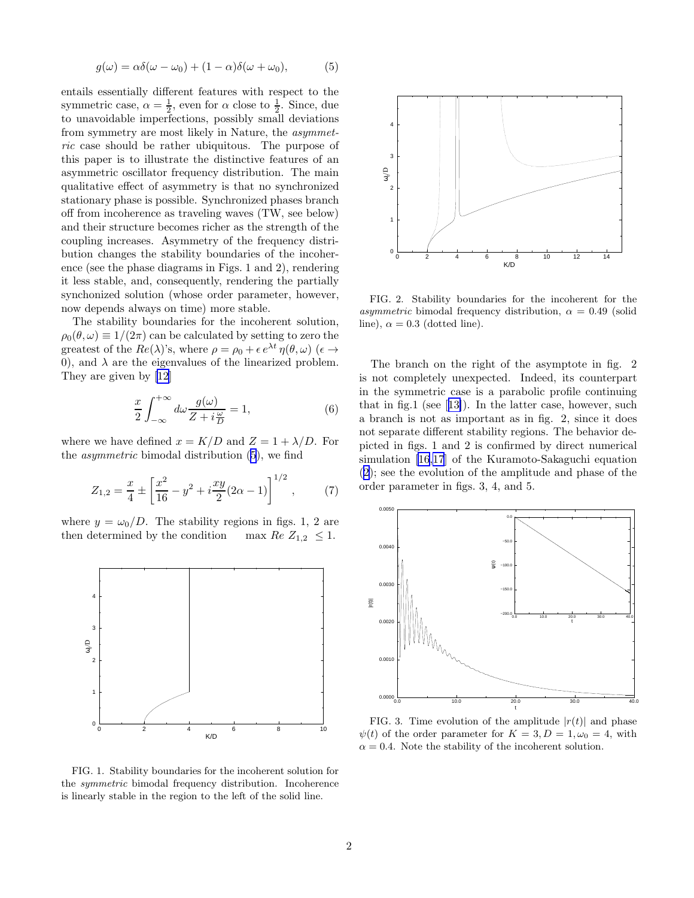$$
g(\omega) = \alpha \delta(\omega - \omega_0) + (1 - \alpha)\delta(\omega + \omega_0), \tag{5}
$$

<span id="page-1-0"></span>entails essentially different features with respect to the symmetric case,  $\alpha = \frac{1}{2}$ , even for  $\alpha$  close to  $\frac{1}{2}$ . Since, due to unavoidable imperfections, possibly small deviations from symmetry are most likely in Nature, the asymmetric case should be rather ubiquitous. The purpose of this paper is to illustrate the distinctive features of an asymmetric oscillator frequency distribution. The main qualitative effect of asymmetry is that no synchronized stationary phase is possible. Synchronized phases branch off from incoherence as traveling waves (TW, see below) and their structure becomes richer as the strength of the coupling increases. Asymmetry of the frequency distribution changes the stability boundaries of the incoherence (see the phase diagrams in Figs. 1 and 2), rendering it less stable, and, consequently, rendering the partially synchonized solution (whose order parameter, however, now depends always on time) more stable.

The stability boundaries for the incoherent solution,  $\rho_0(\theta, \omega) \equiv 1/(2\pi)$  can be calculated by setting to zero the greatest of the  $Re(\lambda)$ 's, where  $\rho = \rho_0 + \epsilon e^{\lambda t} \eta(\theta, \omega)$  ( $\epsilon \rightarrow$ 0), and  $\lambda$  are the eigenvalues of the linearized problem. They are given by[[12](#page-3-0)]

$$
\frac{x}{2} \int_{-\infty}^{+\infty} d\omega \frac{g(\omega)}{Z + i\frac{\omega}{D}} = 1, \tag{6}
$$

where we have defined  $x = K/D$  and  $Z = 1 + \lambda/D$ . For the asymmetric bimodal distribution (5), we find

$$
Z_{1,2} = \frac{x}{4} \pm \left[ \frac{x^2}{16} - y^2 + i \frac{xy}{2} (2\alpha - 1) \right]^{1/2},\tag{7}
$$

where  $y = \omega_0/D$ . The stability regions in figs. 1, 2 are then determined by the condition max  $Re Z_{1,2} \leq 1$ .



FIG. 1. Stability boundaries for the incoherent solution for the symmetric bimodal frequency distribution. Incoherence is linearly stable in the region to the left of the solid line.



FIG. 2. Stability boundaries for the incoherent for the asymmetric bimodal frequency distribution,  $\alpha = 0.49$  (solid line),  $\alpha = 0.3$  (dotted line).

The branch on the right of the asymptote in fig. 2 is not completely unexpected. Indeed, its counterpart in the symmetric case is a parabolic profile continuing that in fig.1 (see[[13\]](#page-3-0)). In the latter case, however, such a branch is not as important as in fig. 2, since it does not separate different stability regions. The behavior depicted in figs. 1 and 2 is confirmed by direct numerical simulation [\[16,17](#page-3-0)] of the Kuramoto-Sakaguchi equation ([2\)](#page-0-0); see the evolution of the amplitude and phase of the order parameter in figs. 3, 4, and 5.



FIG. 3. Time evolution of the amplitude  $|r(t)|$  and phase  $\psi(t)$  of the order parameter for  $K = 3, D = 1, \omega_0 = 4$ , with  $\alpha = 0.4$ . Note the stability of the incoherent solution.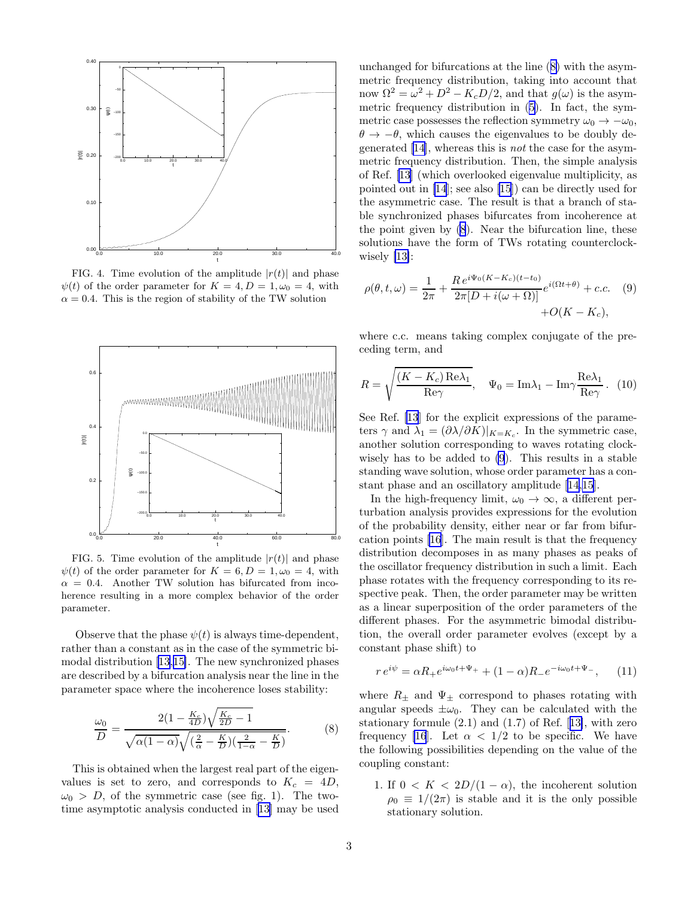<span id="page-2-0"></span>

FIG. 4. Time evolution of the amplitude  $|r(t)|$  and phase  $\psi(t)$  of the order parameter for  $K = 4, D = 1, \omega_0 = 4$ , with  $\alpha = 0.4$ . This is the region of stability of the TW solution



FIG. 5. Time evolution of the amplitude  $|r(t)|$  and phase  $\psi(t)$  of the order parameter for  $K = 6, D = 1, \omega_0 = 4$ , with  $\alpha = 0.4$ . Another TW solution has bifurcated from incoherence resulting in a more complex behavior of the order parameter.

Observe that the phase  $\psi(t)$  is always time-dependent, rather than a constant as in the case of the symmetric bimodal distribution[[13,15\]](#page-3-0). The new synchronized phases are described by a bifurcation analysis near the line in the parameter space where the incoherence loses stability:

$$
\frac{\omega_0}{D} = \frac{2(1 - \frac{K_c}{4D})\sqrt{\frac{K_c}{2D} - 1}}{\sqrt{\alpha(1 - \alpha)}\sqrt{(\frac{2}{\alpha} - \frac{K}{D})(\frac{2}{1 - \alpha} - \frac{K}{D})}}.
$$
(8)

This is obtained when the largest real part of the eigenvalues is set to zero, and corresponds to  $K_c = 4D$ ,  $\omega_0 > D$ , of the symmetric case (see fig. 1). The twotime asymptotic analysis conducted in[[13](#page-3-0)] may be used

unchanged for bifurcations at the line (8) with the asymmetric frequency distribution, taking into account that now  $\Omega^2 = \omega^2 + D^2 - K_c D/2$ , and that  $g(\omega)$  is the asymmetric frequency distribution in([5\)](#page-1-0). In fact, the symmetric case possesses the reflection symmetry  $\omega_0 \rightarrow -\omega_0$ ,  $\theta \rightarrow -\theta$ , which causes the eigenvalues to be doubly degenerated[[14\]](#page-3-0), whereas this is not the case for the asymmetric frequency distribution. Then, the simple analysis of Ref. [\[13](#page-3-0)] (which overlooked eigenvalue multiplicity, as pointed out in [\[14](#page-3-0)]; see also[[15](#page-3-0)]) can be directly used for the asymmetric case. The result is that a branch of stable synchronized phases bifurcates from incoherence at the point given by (8). Near the bifurcation line, these solutions have the form of TWs rotating counterclockwisely [\[13\]](#page-3-0):

$$
\rho(\theta, t, \omega) = \frac{1}{2\pi} + \frac{Re^{i\Psi_0(K - K_c)(t - t_0)}}{2\pi[D + i(\omega + \Omega)]} e^{i(\Omega t + \theta)} + c.c.
$$
 (9)  
+*O*(*K* – *K<sub>c</sub>*),

where c.c. means taking complex conjugate of the preceding term, and

$$
R = \sqrt{\frac{(K - K_c) \operatorname{Re}\lambda_1}{\operatorname{Re}\gamma}}, \quad \Psi_0 = \operatorname{Im}\lambda_1 - \operatorname{Im}\gamma \frac{\operatorname{Re}\lambda_1}{\operatorname{Re}\gamma}. \tag{10}
$$

See Ref. [\[13](#page-3-0)] for the explicit expressions of the parameters  $\gamma$  and  $\lambda_1 = (\partial \lambda / \partial K)|_{K=K_c}$ . In the symmetric case, another solution corresponding to waves rotating clockwisely has to be added to (9). This results in a stable standing wave solution, whose order parameter has a constant phase and an oscillatory amplitude[[14](#page-3-0),[15\]](#page-3-0).

In the high-frequency limit,  $\omega_0 \rightarrow \infty$ , a different perturbation analysis provides expressions for the evolution of the probability density, either near or far from bifurcation points [\[16](#page-3-0)]. The main result is that the frequency distribution decomposes in as many phases as peaks of the oscillator frequency distribution in such a limit. Each phase rotates with the frequency corresponding to its respective peak. Then, the order parameter may be written as a linear superposition of the order parameters of the different phases. For the asymmetric bimodal distribution, the overall order parameter evolves (except by a constant phase shift) to

$$
re^{i\psi} = \alpha R_+ e^{i\omega_0 t + \Psi_+} + (1 - \alpha) R_- e^{-i\omega_0 t + \Psi_-}, \qquad (11)
$$

where  $R_{\pm}$  and  $\Psi_{\pm}$  correspond to phases rotating with angular speeds  $\pm \omega_0$ . They can be calculated with the stationary formule (2.1) and (1.7) of Ref.[[13\]](#page-3-0), with zero frequency [\[16](#page-3-0)]. Let  $\alpha < 1/2$  to be specific. We have the following possibilities depending on the value of the coupling constant:

1. If  $0 \lt K \lt 2D/(1-\alpha)$ , the incoherent solution  $\rho_0 \equiv 1/(2\pi)$  is stable and it is the only possible stationary solution.